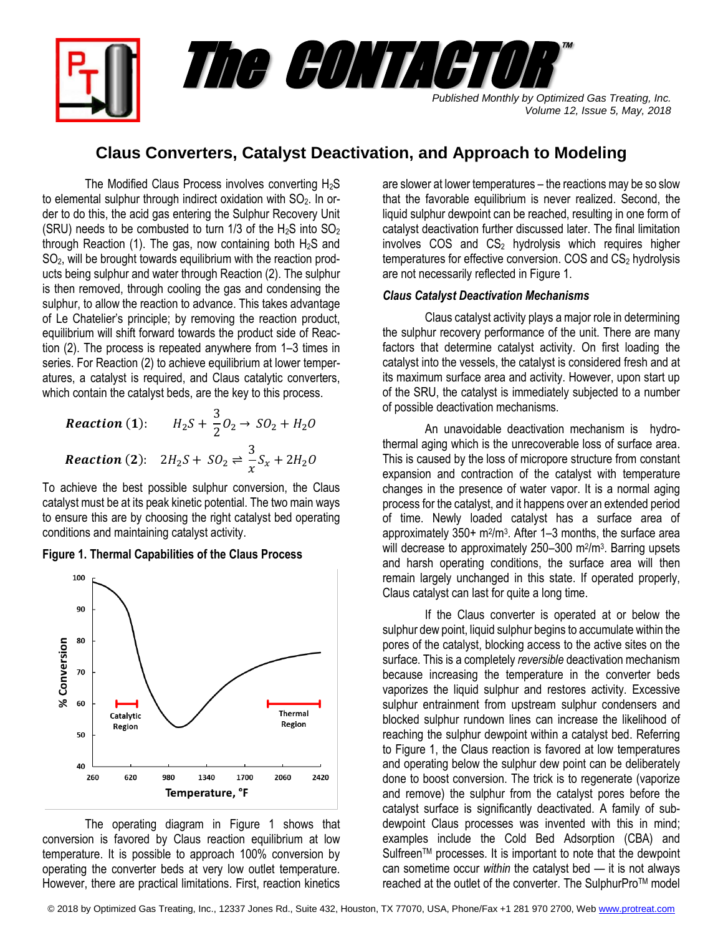*Published Monthly by Optimized Gas Treating, Inc. Volume 12, Issue 5, May, 2018* The CONTACTOR ™

## **Claus Converters, Catalyst Deactivation, and Approach to Modeling**

The Modified Claus Process involves converting  $H_2S$ to elemental sulphur through indirect oxidation with  $SO<sub>2</sub>$ . In order to do this, the acid gas entering the Sulphur Recovery Unit (SRU) needs to be combusted to turn  $1/3$  of the H<sub>2</sub>S into SO<sub>2</sub> through Reaction (1). The gas, now containing both  $H_2S$  and SO2, will be brought towards equilibrium with the reaction products being sulphur and water through Reaction (2). The sulphur is then removed, through cooling the gas and condensing the sulphur, to allow the reaction to advance. This takes advantage of Le Chatelier's principle; by removing the reaction product, equilibrium will shift forward towards the product side of Reaction (2). The process is repeated anywhere from 1–3 times in series. For Reaction (2) to achieve equilibrium at lower temperatures, a catalyst is required, and Claus catalytic converters, which contain the catalyst beds, are the key to this process.

**Reaction (1):** 
$$
H_2S + \frac{3}{2}O_2 \rightarrow SO_2 + H_2O
$$
  
\n**Reaction (2):**  $2H_2S + SO_2 \rightleftharpoons \frac{3}{x}S_x + 2H_2O$ 

To achieve the best possible sulphur conversion, the Claus catalyst must be at its peak kinetic potential. The two main ways to ensure this are by choosing the right catalyst bed operating conditions and maintaining catalyst activity.

## **Figure 1. Thermal Capabilities of the Claus Process**



The operating diagram in Figure 1 shows that conversion is favored by Claus reaction equilibrium at low temperature. It is possible to approach 100% conversion by operating the converter beds at very low outlet temperature. However, there are practical limitations. First, reaction kinetics

are slower at lower temperatures – the reactions may be so slow that the favorable equilibrium is never realized. Second, the liquid sulphur dewpoint can be reached, resulting in one form of catalyst deactivation further discussed later. The final limitation involves  $COS$  and  $CS<sub>2</sub>$  hydrolysis which requires higher  $temperatures$  for effective conversion. COS and  $CS<sub>2</sub>$  hydrolysis are not necessarily reflected in Figure 1.

## *Claus Catalyst Deactivation Mechanisms*

Claus catalyst activity plays a major role in determining the sulphur recovery performance of the unit. There are many factors that determine catalyst activity. On first loading the catalyst into the vessels, the catalyst is considered fresh and at its maximum surface area and activity. However, upon start up of the SRU, the catalyst is immediately subjected to a number of possible deactivation mechanisms.

An unavoidable deactivation mechanism is hydrothermal aging which is the unrecoverable loss of surface area. This is caused by the loss of micropore structure from constant expansion and contraction of the catalyst with temperature changes in the presence of water vapor. It is a normal aging process for the catalyst, and it happens over an extended period of time. Newly loaded catalyst has a surface area of approximately  $350+ m^2/m^3$ . After 1–3 months, the surface area will decrease to approximately 250-300 m<sup>2</sup>/m<sup>3</sup>. Barring upsets and harsh operating conditions, the surface area will then remain largely unchanged in this state. If operated properly, Claus catalyst can last for quite a long time.

If the Claus converter is operated at or below the sulphur dew point, liquid sulphur begins to accumulate within the pores of the catalyst, blocking access to the active sites on the surface. This is a completely *reversible* deactivation mechanism because increasing the temperature in the converter beds vaporizes the liquid sulphur and restores activity. Excessive sulphur entrainment from upstream sulphur condensers and blocked sulphur rundown lines can increase the likelihood of reaching the sulphur dewpoint within a catalyst bed. Referring to Figure 1, the Claus reaction is favored at low temperatures and operating below the sulphur dew point can be deliberately done to boost conversion. The trick is to regenerate (vaporize and remove) the sulphur from the catalyst pores before the catalyst surface is significantly deactivated. A family of subdewpoint Claus processes was invented with this in mind; examples include the Cold Bed Adsorption (CBA) and Sulfreen™ processes. It is important to note that the dewpoint can sometime occur *within* the catalyst bed — it is not always reached at the outlet of the converter. The SulphurPro™ model

© 2018 by Optimized Gas Treating, Inc., 12337 Jones Rd., Suite 432, Houston, TX 77070, USA, Phone/Fax +1 281 970 2700, We[b www.protreat.com](http://www.protreat.com/)